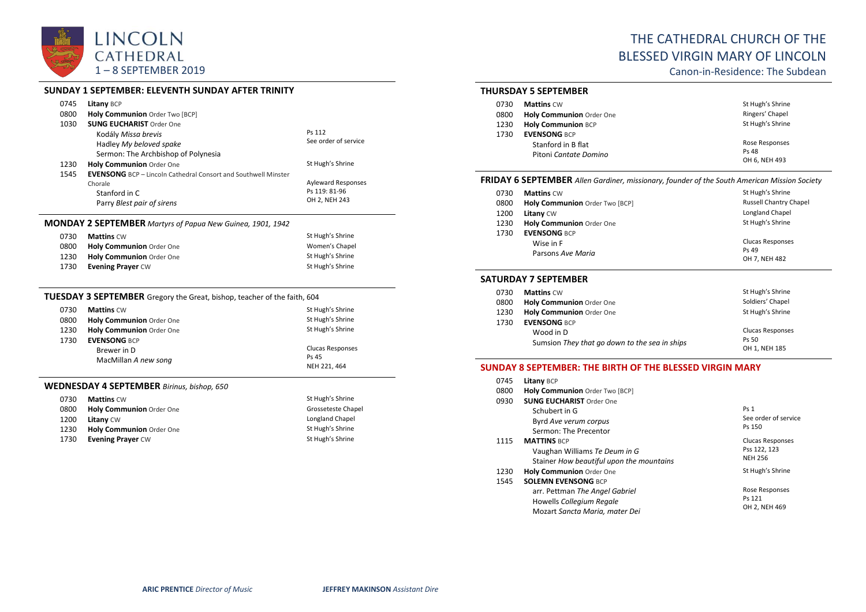

## **SUNDAY 1 SEPTEMBER: ELEVENTH SUNDAY AFTER TRINITY**

| 0745 | <b>Litany BCP</b>                                                     |                           |
|------|-----------------------------------------------------------------------|---------------------------|
| 0800 | Holy Communion Order Two [BCP]                                        |                           |
| 1030 | <b>SUNG EUCHARIST Order One</b>                                       |                           |
|      | Kodály Missa brevis                                                   | Ps 112                    |
|      | Hadley My beloved spake                                               | See order of service      |
|      | Sermon: The Archbishop of Polynesia                                   |                           |
| 1230 | <b>Holy Communion Order One</b>                                       | St Hugh's Shrine          |
| 1545 | <b>EVENSONG</b> BCP - Lincoln Cathedral Consort and Southwell Minster |                           |
|      | Chorale                                                               | <b>Ayleward Responses</b> |
|      | Stanford in C                                                         | Ps 119: 81-96             |
|      | Parry Blest pair of sirens                                            | OH 2, NEH 243             |

#### **MONDAY 2 SEPTEMBER** *Martyrs of Papua New Guinea, 1901, 1942*

| 0730 | <b>Mattins</b> CW        | St Hugh's Shrine |
|------|--------------------------|------------------|
| 0800 | Holy Communion Order One | Women's Chapel   |
| 1230 | Holy Communion Order One | St Hugh's Shrine |
| 1730 | <b>Evening Prayer CW</b> | St Hugh's Shrine |

#### **TUESDAY 3 SEPTEMBER** Gregory the Great, bishop, teacher of the faith, 604

| 0730 | <b>Mattins CW</b>        | St Hugh's Shrine        |
|------|--------------------------|-------------------------|
| 0800 | Holy Communion Order One | St Hugh's Shrine        |
| 1230 | Holy Communion Order One | St Hugh's Shrine        |
| 1730 | <b>EVENSONG BCP</b>      |                         |
|      | Brewer in D              | <b>Clucas Responses</b> |
|      | MacMillan A new song     | Ps 45                   |
|      |                          | NEH 221, 464            |

#### **WEDNESDAY 4 SEPTEMBER** *Birinus, bishop, 650*

| 0730 | <b>Mattins CW</b>        | St Hugh's Shrine   |
|------|--------------------------|--------------------|
| 0800 | Holy Communion Order One | Grosseteste Chapel |
| 1200 | <b>Litany CW</b>         | Longland Chapel    |
| 1230 | Holy Communion Order One | St Hugh's Shrine   |
| 1730 | <b>Evening Prayer CW</b> | St Hugh's Shrine   |

## THE CATHEDRAL CHURCH OF THE BLESSED VIRGIN MARY OF LINCOLN

Canon-in-Residence: The Subdean

#### **THURSDAY 5 SEPTEMBER**

| 0730 | <b>Mattins CW</b>               | St Hugh's Shrine       |
|------|---------------------------------|------------------------|
| 0800 | <b>Holy Communion Order One</b> | Ringers' Chapel        |
| 1230 | <b>Holy Communion BCP</b>       | St Hugh's Shrine       |
| 1730 | <b>EVENSONG BCP</b>             |                        |
|      | Stanford in B flat              | Rose Responses         |
|      | Pitoni Cantate Domino           | Ps 48<br>OH 6, NEH 493 |

## **FRIDAY 6 SEPTEMBER** *Allen Gardiner, missionary, founder of the South American Mission Society*

| 0730 | <b>Mattins CW</b>               | St Hugh's Shrine              |
|------|---------------------------------|-------------------------------|
| 0800 | Holy Communion Order Two [BCP]  | <b>Russell Chantry Chapel</b> |
| 1200 | <b>Litany CW</b>                | Longland Chapel               |
| 1230 | <b>Holy Communion Order One</b> | St Hugh's Shrine              |
| 1730 | <b>EVENSONG BCP</b>             |                               |
|      | Wise in F                       | <b>Clucas Responses</b>       |
|      | Parsons Ave Maria               | Ps 49                         |
|      |                                 | OH 7, NEH 482                 |

#### **SATURDAY 7 SEPTEMBER**

| 0730 | <b>Mattins CW</b>                             | St Hugh's Shrine        |
|------|-----------------------------------------------|-------------------------|
| 0800 | <b>Holy Communion Order One</b>               | Soldiers' Chapel        |
| 1230 | Holy Communion Order One                      | St Hugh's Shrine        |
| 1730 | <b>EVENSONG BCP</b>                           |                         |
|      | Wood in D                                     | <b>Clucas Responses</b> |
|      | Sumsion They that go down to the sea in ships | Ps 50                   |
|      |                                               | OH 1, NEH 185           |

#### **SUNDAY 8 SEPTEMBER: THE BIRTH OF THE BLESSED VIRGIN MARY**

| 0745 | <b>Litany BCP</b>                        |                      |
|------|------------------------------------------|----------------------|
| 0800 | Holy Communion Order Two [BCP]           |                      |
| 0930 | <b>SUNG EUCHARIST Order One</b>          |                      |
|      | Schubert in G                            | <b>Ps 1</b>          |
|      | Byrd Ave verum corpus                    | See order of service |
|      | Sermon: The Precentor                    | Ps 150               |
| 1115 | <b>MATTINS BCP</b>                       | Clucas Responses     |
|      | Vaughan Williams Te Deum in G            | Pss 122, 123         |
|      | Stainer How beautiful upon the mountains | <b>NEH 256</b>       |
| 1230 | <b>Holy Communion</b> Order One          | St Hugh's Shrine     |
| 1545 | <b>SOLEMN EVENSONG BCP</b>               |                      |
|      | arr. Pettman The Angel Gabriel           | Rose Responses       |
|      | Howells Collegium Regale                 | Ps 121               |
|      | Mozart Sancta Maria, mater Dei           | OH 2, NEH 469        |